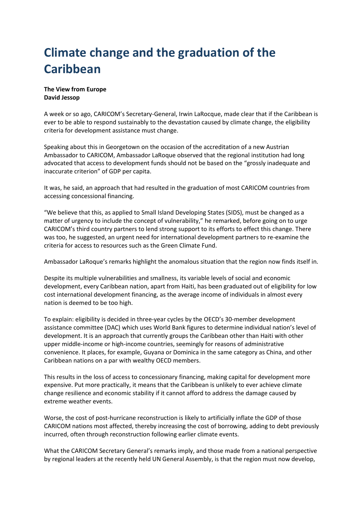## **Climate change and the graduation of the Caribbean**

## **The View from Europe David Jessop**

A week or so ago, CARICOM's Secretary-General, Irwin LaRocque, made clear that if the Caribbean is ever to be able to respond sustainably to the devastation caused by climate change, the eligibility criteria for development assistance must change.

Speaking about this in Georgetown on the occasion of the accreditation of a new Austrian Ambassador to CARICOM, Ambassador LaRoque observed that the regional institution had long advocated that access to development funds should not be based on the "grossly inadequate and inaccurate criterion" of GDP per capita.

It was, he said, an approach that had resulted in the graduation of most CARICOM countries from accessing concessional financing.

"We believe that this, as applied to Small Island Developing States (SIDS), must be changed as a matter of urgency to include the concept of vulnerability," he remarked, before going on to urge CARICOM's third country partners to lend strong support to its efforts to effect this change. There was too, he suggested, an urgent need for international development partners to re-examine the criteria for access to resources such as the Green Climate Fund.

Ambassador LaRoque's remarks highlight the anomalous situation that the region now finds itself in.

Despite its multiple vulnerabilities and smallness, its variable levels of social and economic development, every Caribbean nation, apart from Haiti, has been graduated out of eligibility for low cost international development financing, as the average income of individuals in almost every nation is deemed to be too high.

To explain: eligibility is decided in three-year cycles by the OECD's 30-member development assistance committee (DAC) which uses World Bank figures to determine individual nation's level of development. It is an approach that currently groups the Caribbean other than Haiti with other upper middle-income or high-income countries, seemingly for reasons of administrative convenience. It places, for example, Guyana or Dominica in the same category as China, and other Caribbean nations on a par with wealthy OECD members.

This results in the loss of access to concessionary financing, making capital for development more expensive. Put more practically, it means that the Caribbean is unlikely to ever achieve climate change resilience and economic stability if it cannot afford to address the damage caused by extreme weather events.

Worse, the cost of post-hurricane reconstruction is likely to artificially inflate the GDP of those CARICOM nations most affected, thereby increasing the cost of borrowing, adding to debt previously incurred, often through reconstruction following earlier climate events.

What the CARICOM Secretary General's remarks imply, and those made from a national perspective by regional leaders at the recently held UN General Assembly, is that the region must now develop,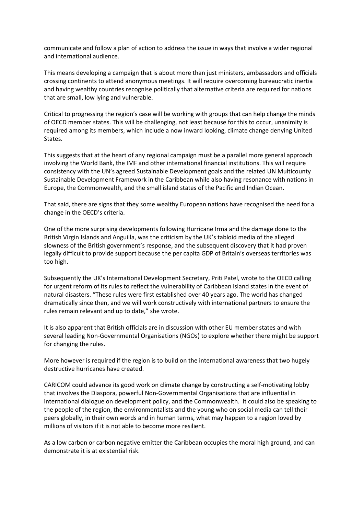communicate and follow a plan of action to address the issue in ways that involve a wider regional and international audience.

This means developing a campaign that is about more than just ministers, ambassadors and officials crossing continents to attend anonymous meetings. It will require overcoming bureaucratic inertia and having wealthy countries recognise politically that alternative criteria are required for nations that are small, low lying and vulnerable.

Critical to progressing the region's case will be working with groups that can help change the minds of OECD member states. This will be challenging, not least because for this to occur, unanimity is required among its members, which include a now inward looking, climate change denying United States.

This suggests that at the heart of any regional campaign must be a parallel more general approach involving the World Bank, the IMF and other international financial institutions. This will require consistency with the UN's agreed Sustainable Development goals and the related UN Multicounty Sustainable Development Framework in the Caribbean while also having resonance with nations in Europe, the Commonwealth, and the small island states of the Pacific and Indian Ocean.

That said, there are signs that they some wealthy European nations have recognised the need for a change in the OECD's criteria.

One of the more surprising developments following Hurricane Irma and the damage done to the British Virgin Islands and Anguilla, was the criticism by the UK's tabloid media of the alleged slowness of the British government's response, and the subsequent discovery that it had proven legally difficult to provide support because the per capita GDP of Britain's overseas territories was too high.

Subsequently the UK's International Development Secretary, Priti Patel, wrote to the OECD calling for urgent reform of its rules to reflect the vulnerability of Caribbean island states in the event of natural disasters. "These rules were first established over 40 years ago. The world has changed dramatically since then, and we will work constructively with international partners to ensure the rules remain relevant and up to date," she wrote.

It is also apparent that British officials are in discussion with other EU member states and with several leading Non-Governmental Organisations (NGOs) to explore whether there might be support for changing the rules.

More however is required if the region is to build on the international awareness that two hugely destructive hurricanes have created.

CARICOM could advance its good work on climate change by constructing a self-motivating lobby that involves the Diaspora, powerful Non-Governmental Organisations that are influential in international dialogue on development policy, and the Commonwealth. It could also be speaking to the people of the region, the environmentalists and the young who on social media can tell their peers globally, in their own words and in human terms, what may happen to a region loved by millions of visitors if it is not able to become more resilient.

As a low carbon or carbon negative emitter the Caribbean occupies the moral high ground, and can demonstrate it is at existential risk.